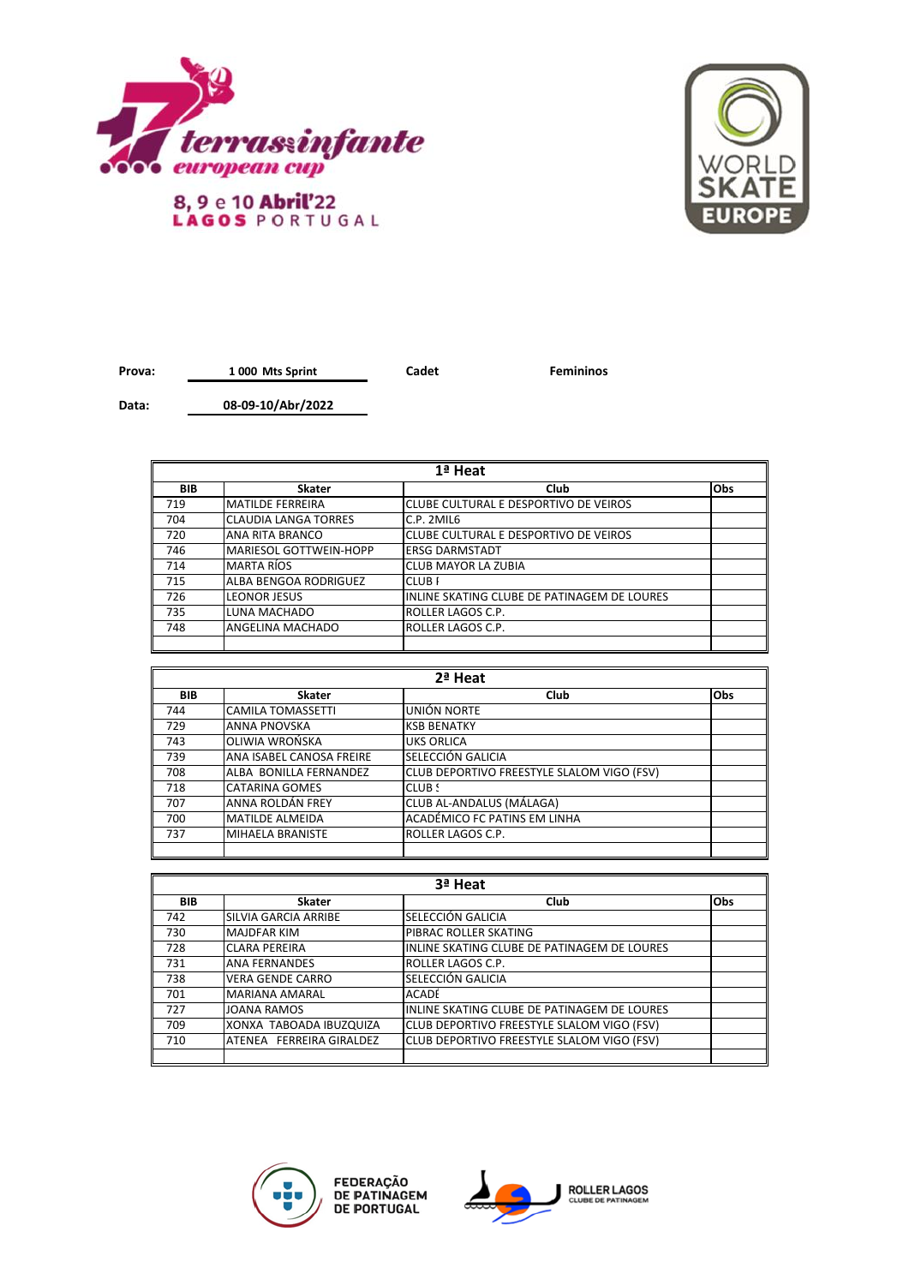



## Prova: 1000 Mts Sprint **Cadet Femininos**

**Data: 08-09-10/Abr/2022**

| 1ª Heat |                              |                                             |     |
|---------|------------------------------|---------------------------------------------|-----|
| BIB     | Skater                       | Club                                        | Obs |
| 719     | <b>MATILDE FERREIRA</b>      | CLUBE CULTURAL E DESPORTIVO DE VEIROS       |     |
| 704     | <b>ICLAUDIA LANGA TORRES</b> | C.P. 2MIL6                                  |     |
| 720     | <b>ANA RITA BRANCO</b>       | CLUBE CULTURAL E DESPORTIVO DE VEIROS       |     |
| 746     | IMARIESOL GOTTWEIN-HOPP      | <b>ERSG DARMSTADT</b>                       |     |
| 714     | <b>MARTA RÍOS</b>            | <b>CLUB MAYOR LA ZUBIA</b>                  |     |
| 715     | ALBA BENGOA RODRIGUEZ        | <b>CLUBF</b>                                |     |
| 726     | <b>LEONOR JESUS</b>          | INLINE SKATING CLUBE DE PATINAGEM DE LOURES |     |
| 735     | LUNA MACHADO                 | ROLLER LAGOS C.P.                           |     |
| 748     | ANGELINA MACHADO             | ROLLER LAGOS C.P.                           |     |
|         |                              |                                             |     |

| 2ª Heat    |                          |                                            |     |
|------------|--------------------------|--------------------------------------------|-----|
| <b>BIB</b> | <b>Skater</b>            | Club                                       | Obs |
| 744        | <b>CAMILA TOMASSETTI</b> | UNIÓN NORTE                                |     |
| 729        | <b>ANNA PNOVSKA</b>      | <b>KSB BENATKY</b>                         |     |
| 743        | OLIWIA WROŃSKA           | <b>UKS ORLICA</b>                          |     |
| 739        | ANA ISABEL CANOSA FREIRE | SELECCIÓN GALICIA                          |     |
| 708        | ALBA BONILLA FERNANDEZ   | CLUB DEPORTIVO FREESTYLE SLALOM VIGO (FSV) |     |
| 718        | <b>CATARINA GOMES</b>    | CLUB S                                     |     |
| 707        | ANNA ROLDÁN FREY         | CLUB AL-ANDALUS (MÁLAGA)                   |     |
| 700        | <b>MATILDE ALMEIDA</b>   | ACADÉMICO FC PATINS EM LINHA               |     |
| 737        | <b>MIHAELA BRANISTE</b>  | <b>ROLLER LAGOS C.P.</b>                   |     |
|            |                          |                                            |     |

| 3ª Heat    |                          |                                             |     |
|------------|--------------------------|---------------------------------------------|-----|
| <b>BIB</b> | Skater                   | Club                                        | Obs |
| 742        | SILVIA GARCIA ARRIBE     | SELECCIÓN GALICIA                           |     |
| 730        | <b>MAJDFAR KIM</b>       | PIBRAC ROLLER SKATING                       |     |
| 728        | <b>CLARA PEREIRA</b>     | INLINE SKATING CLUBE DE PATINAGEM DE LOURES |     |
| 731        | <b>ANA FERNANDES</b>     | ROLLER LAGOS C.P.                           |     |
| 738        | <b>VERA GENDE CARRO</b>  | SELECCIÓN GALICIA                           |     |
| 701        | <b>MARIANA AMARAL</b>    | <b>ACADE</b>                                |     |
| 727        | <b>JOANA RAMOS</b>       | INLINE SKATING CLUBE DE PATINAGEM DE LOURES |     |
| 709        | XONXA TABOADA IBUZQUIZA  | CLUB DEPORTIVO FREESTYLE SLALOM VIGO (FSV)  |     |
| 710        | ATENEA FERREIRA GIRALDEZ | CLUB DEPORTIVO FREESTYLE SLALOM VIGO (FSV)  |     |
|            |                          |                                             |     |